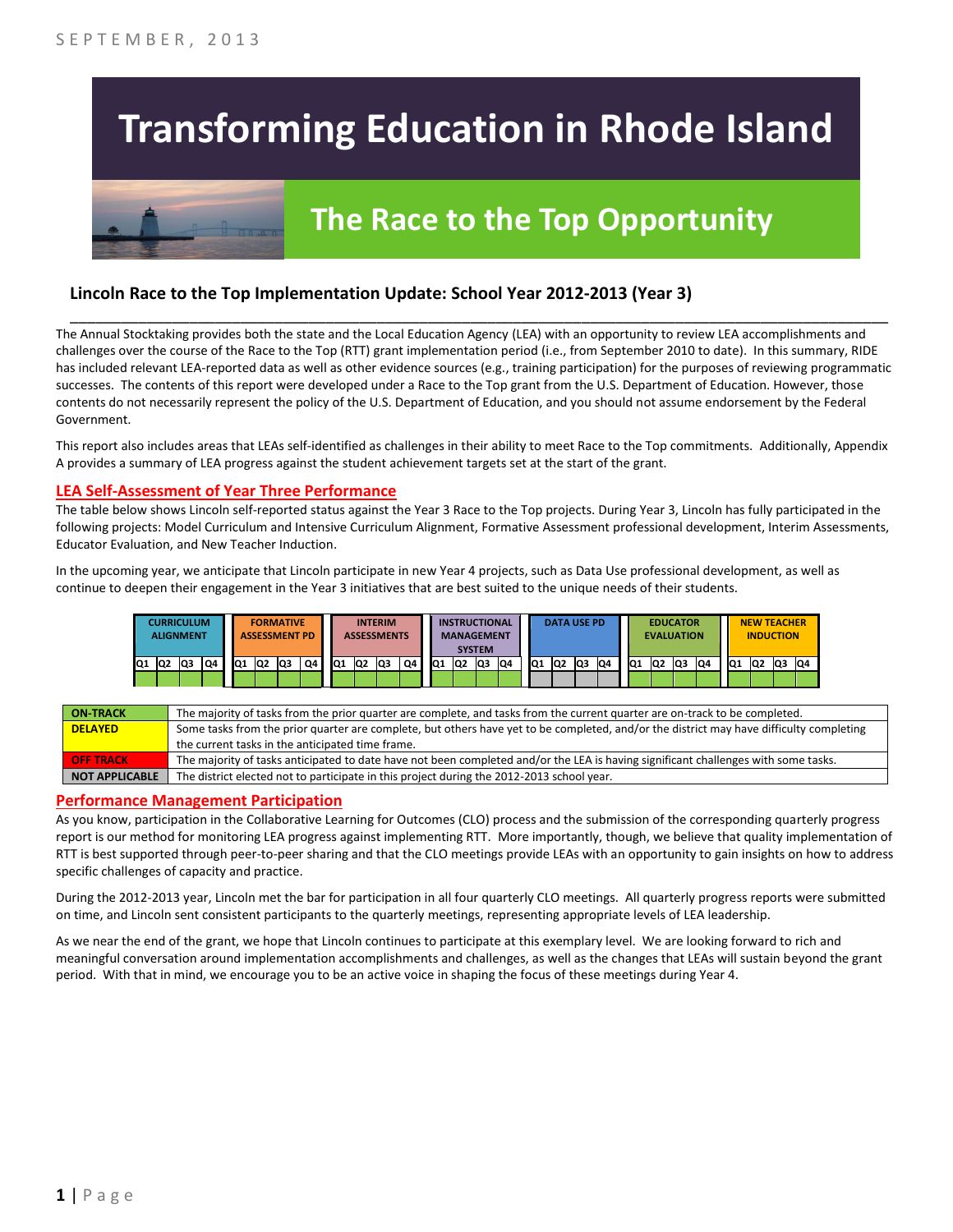# **Transforming Education in Rhode Island**

# **The Race to the Top Opportunity**

### **Lincoln Race to the Top Implementation Update: School Year 2012-2013 (Year 3)**

The Annual Stocktaking provides both the state and the Local Education Agency (LEA) with an opportunity to review LEA accomplishments and challenges over the course of the Race to the Top (RTT) grant implementation period (i.e., from September 2010 to date). In this summary, RIDE has included relevant LEA-reported data as well as other evidence sources (e.g., training participation) for the purposes of reviewing programmatic successes. The contents of this report were developed under a Race to the Top grant from the U.S. Department of Education. However, those contents do not necessarily represent the policy of the U.S. Department of Education, and you should not assume endorsement by the Federal Government.

\_\_\_\_\_\_\_\_\_\_\_\_\_\_\_\_\_\_\_\_\_\_\_\_\_\_\_\_\_\_\_\_\_\_\_\_\_\_\_\_\_\_\_\_\_\_\_\_\_\_\_\_\_\_\_\_\_\_\_\_\_\_\_\_\_\_\_\_\_\_\_\_\_\_\_\_\_\_\_\_\_\_\_\_\_\_\_\_\_\_\_\_\_\_\_\_

This report also includes areas that LEAs self-identified as challenges in their ability to meet Race to the Top commitments. Additionally, Appendix A provides a summary of LEA progress against the student achievement targets set at the start of the grant.

#### **LEA Self-Assessment of Year Three Performance**

The table below shows Lincoln self-reported status against the Year 3 Race to the Top projects. During Year 3, Lincoln has fully participated in the following projects: Model Curriculum and Intensive Curriculum Alignment, Formative Assessment professional development, Interim Assessments, Educator Evaluation, and New Teacher Induction.

In the upcoming year, we anticipate that Lincoln participate in new Year 4 projects, such as Data Use professional development, as well as continue to deepen their engagement in the Year 3 initiatives that are best suited to the unique needs of their students.

|     |    | <b>CURRICULUM</b><br>ALIGNMENT |    |     |                | <b>FORMATIVE</b><br><b>ASSESSMENT PD</b> |    |     |                 | <b>INTERIM</b><br><b>ASSESSMENTS</b> |    |     |                 | <b>INSTRUCTIONAL</b><br><b>MANAGEMENT</b><br><b>SYSTEM</b> |    |                 |    | <b>DATA USE PD</b> |     |                 | <b>EDUCATOR</b><br><b>EVALUATION</b> |     |     |           | <b>NEW TEACHER</b><br><b>INDUCTION</b> |    |    |
|-----|----|--------------------------------|----|-----|----------------|------------------------------------------|----|-----|-----------------|--------------------------------------|----|-----|-----------------|------------------------------------------------------------|----|-----------------|----|--------------------|-----|-----------------|--------------------------------------|-----|-----|-----------|----------------------------------------|----|----|
| IQ1 | Q2 | lQ3                            | Q4 | IQ1 | Q <sub>2</sub> | lQ3                                      | Q4 | IQ1 | IQ <sub>2</sub> | lQ3                                  | Q4 | IQ1 | IQ <sub>2</sub> | lQ3                                                        | Q4 | IQ <sub>1</sub> | Q2 | Q3                 | IQ4 | IQ <sub>1</sub> | Q <sub>2</sub>                       | lQ3 | IQ4 | <b>Q1</b> | Q <sub>2</sub>                         | Q3 | Q4 |
|     |    |                                |    |     |                |                                          |    |     |                 |                                      |    |     |                 |                                                            |    |                 |    |                    |     |                 |                                      |     |     |           |                                        |    |    |

| <b>ON TRACK</b>  | The majority of tasks from the prior quarter are complete, and tasks from the current quarter are on-track to be completed.             |
|------------------|-----------------------------------------------------------------------------------------------------------------------------------------|
| <b>DELAYED</b>   | Some tasks from the prior quarter are complete, but others have yet to be completed, and/or the district may have difficulty completing |
|                  | the current tasks in the anticipated time frame.                                                                                        |
| <b>OFF TRACK</b> | The majority of tasks anticipated to date have not been completed and/or the LEA is having significant challenges with some tasks.      |
| NOT APPLICABLE   | The district elected not to participate in this project during the 2012-2013 school year.                                               |

#### **Performance Management Participation**

As you know, participation in the Collaborative Learning for Outcomes (CLO) process and the submission of the corresponding quarterly progress report is our method for monitoring LEA progress against implementing RTT. More importantly, though, we believe that quality implementation of RTT is best supported through peer-to-peer sharing and that the CLO meetings provide LEAs with an opportunity to gain insights on how to address specific challenges of capacity and practice.

During the 2012-2013 year, Lincoln met the bar for participation in all four quarterly CLO meetings. All quarterly progress reports were submitted on time, and Lincoln sent consistent participants to the quarterly meetings, representing appropriate levels of LEA leadership.

As we near the end of the grant, we hope that Lincoln continues to participate at this exemplary level. We are looking forward to rich and meaningful conversation around implementation accomplishments and challenges, as well as the changes that LEAs will sustain beyond the grant period. With that in mind, we encourage you to be an active voice in shaping the focus of these meetings during Year 4.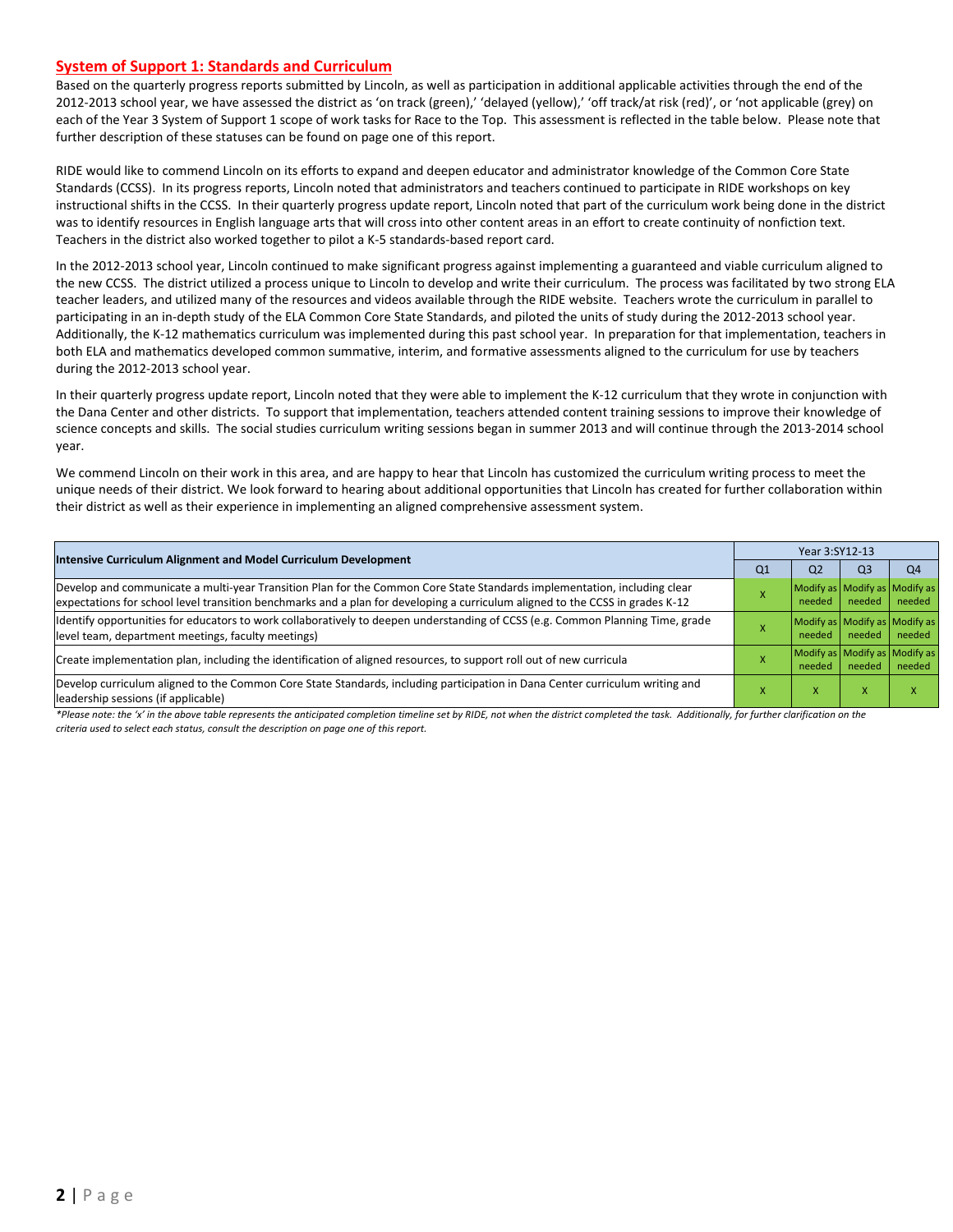#### **System of Support 1: Standards and Curriculum**

Based on the quarterly progress reports submitted by Lincoln, as well as participation in additional applicable activities through the end of the 2012-2013 school year, we have assessed the district as 'on track (green),' 'delayed (yellow),' 'off track/at risk (red)', or 'not applicable (grey) on each of the Year 3 System of Support 1 scope of work tasks for Race to the Top. This assessment is reflected in the table below. Please note that further description of these statuses can be found on page one of this report.

RIDE would like to commend Lincoln on its efforts to expand and deepen educator and administrator knowledge of the Common Core State Standards (CCSS). In its progress reports, Lincoln noted that administrators and teachers continued to participate in RIDE workshops on key instructional shifts in the CCSS. In their quarterly progress update report, Lincoln noted that part of the curriculum work being done in the district was to identify resources in English language arts that will cross into other content areas in an effort to create continuity of nonfiction text. Teachers in the district also worked together to pilot a K-5 standards-based report card.

In the 2012-2013 school year, Lincoln continued to make significant progress against implementing a guaranteed and viable curriculum aligned to the new CCSS. The district utilized a process unique to Lincoln to develop and write their curriculum. The process was facilitated by two strong ELA teacher leaders, and utilized many of the resources and videos available through the RIDE website. Teachers wrote the curriculum in parallel to participating in an in-depth study of the ELA Common Core State Standards, and piloted the units of study during the 2012-2013 school year. Additionally, the K-12 mathematics curriculum was implemented during this past school year. In preparation for that implementation, teachers in both ELA and mathematics developed common summative, interim, and formative assessments aligned to the curriculum for use by teachers during the 2012-2013 school year.

In their quarterly progress update report, Lincoln noted that they were able to implement the K-12 curriculum that they wrote in conjunction with the Dana Center and other districts. To support that implementation, teachers attended content training sessions to improve their knowledge of science concepts and skills. The social studies curriculum writing sessions began in summer 2013 and will continue through the 2013-2014 school year.

We commend Lincoln on their work in this area, and are happy to hear that Lincoln has customized the curriculum writing process to meet the unique needs of their district. We look forward to hearing about additional opportunities that Lincoln has created for further collaboration within their district as well as their experience in implementing an aligned comprehensive assessment system.

| Intensive Curriculum Alignment and Model Curriculum Development                                                                                                                                                                                           | Year 3:SY12-13 |                                         |                                         |        |  |  |
|-----------------------------------------------------------------------------------------------------------------------------------------------------------------------------------------------------------------------------------------------------------|----------------|-----------------------------------------|-----------------------------------------|--------|--|--|
|                                                                                                                                                                                                                                                           | Q <sub>1</sub> | Q <sub>2</sub>                          | Q <sub>3</sub>                          | Q4     |  |  |
| Develop and communicate a multi-year Transition Plan for the Common Core State Standards implementation, including clear<br>expectations for school level transition benchmarks and a plan for developing a curriculum aligned to the CCSS in grades K-12 |                | Modify as Modify as Modify as<br>needed | needed                                  | needed |  |  |
| Identify opportunities for educators to work collaboratively to deepen understanding of CCSS (e.g. Common Planning Time, grade<br>level team, department meetings, faculty meetings)                                                                      |                | Modify as Modify as Modify as<br>needed | needed                                  | needed |  |  |
| Create implementation plan, including the identification of aligned resources, to support roll out of new curricula                                                                                                                                       |                | needed                                  | Modify as Modify as Modify as<br>needed | needed |  |  |
| Develop curriculum aligned to the Common Core State Standards, including participation in Dana Center curriculum writing and<br>leadership sessions (if applicable)                                                                                       |                | x                                       | X                                       | x      |  |  |

*\*Please note: the 'x' in the above table represents the anticipated completion timeline set by RIDE, not when the district completed the task. Additionally, for further clarification on the criteria used to select each status, consult the description on page one of this report.*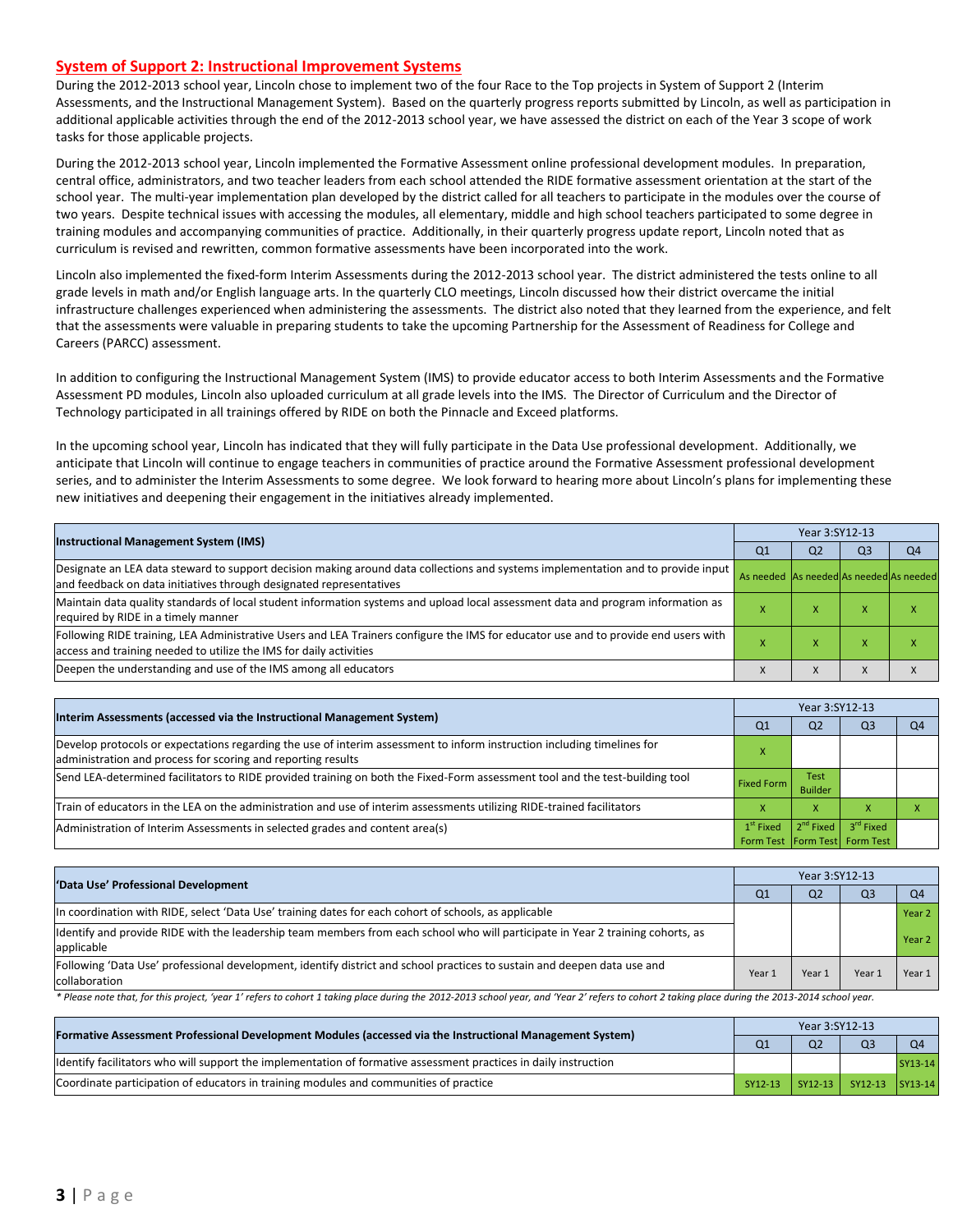#### **System of Support 2: Instructional Improvement Systems**

During the 2012-2013 school year, Lincoln chose to implement two of the four Race to the Top projects in System of Support 2 (Interim Assessments, and the Instructional Management System). Based on the quarterly progress reports submitted by Lincoln, as well as participation in additional applicable activities through the end of the 2012-2013 school year, we have assessed the district on each of the Year 3 scope of work tasks for those applicable projects.

During the 2012-2013 school year, Lincoln implemented the Formative Assessment online professional development modules. In preparation, central office, administrators, and two teacher leaders from each school attended the RIDE formative assessment orientation at the start of the school year. The multi-year implementation plan developed by the district called for all teachers to participate in the modules over the course of two years. Despite technical issues with accessing the modules, all elementary, middle and high school teachers participated to some degree in training modules and accompanying communities of practice. Additionally, in their quarterly progress update report, Lincoln noted that as curriculum is revised and rewritten, common formative assessments have been incorporated into the work.

Lincoln also implemented the fixed-form Interim Assessments during the 2012-2013 school year. The district administered the tests online to all grade levels in math and/or English language arts. In the quarterly CLO meetings, Lincoln discussed how their district overcame the initial infrastructure challenges experienced when administering the assessments. The district also noted that they learned from the experience, and felt that the assessments were valuable in preparing students to take the upcoming Partnership for the Assessment of Readiness for College and Careers (PARCC) assessment.

In addition to configuring the Instructional Management System (IMS) to provide educator access to both Interim Assessments and the Formative Assessment PD modules, Lincoln also uploaded curriculum at all grade levels into the IMS. The Director of Curriculum and the Director of Technology participated in all trainings offered by RIDE on both the Pinnacle and Exceed platforms.

In the upcoming school year, Lincoln has indicated that they will fully participate in the Data Use professional development. Additionally, we anticipate that Lincoln will continue to engage teachers in communities of practice around the Formative Assessment professional development series, and to administer the Interim Assessments to some degree. We look forward to hearing more about Lincoln's plans for implementing these new initiatives and deepening their engagement in the initiatives already implemented.

| <b>Instructional Management System (IMS)</b>                                                                                                                                                              |                                         | Year 3:SY12-13 |                |                |  |  |  |
|-----------------------------------------------------------------------------------------------------------------------------------------------------------------------------------------------------------|-----------------------------------------|----------------|----------------|----------------|--|--|--|
|                                                                                                                                                                                                           | Q <sub>1</sub>                          | Q <sub>2</sub> | Q <sub>3</sub> | Q <sub>4</sub> |  |  |  |
| Designate an LEA data steward to support decision making around data collections and systems implementation and to provide input<br>and feedback on data initiatives through designated representatives   | As needed As needed As needed As needed |                |                |                |  |  |  |
| Maintain data quality standards of local student information systems and upload local assessment data and program information as<br>required by RIDE in a timely manner                                   |                                         | $\lambda$      |                |                |  |  |  |
| Following RIDE training, LEA Administrative Users and LEA Trainers configure the IMS for educator use and to provide end users with<br>access and training needed to utilize the IMS for daily activities |                                         | ⋏              |                |                |  |  |  |
| Deepen the understanding and use of the IMS among all educators                                                                                                                                           |                                         | $\lambda$      |                |                |  |  |  |

| Interim Assessments (accessed via the Instructional Management System)                                                                                                                  | Year 3:SY12-13                |                               |                       |                |  |  |
|-----------------------------------------------------------------------------------------------------------------------------------------------------------------------------------------|-------------------------------|-------------------------------|-----------------------|----------------|--|--|
|                                                                                                                                                                                         | Q <sub>1</sub>                | Q <sub>2</sub>                | Q3                    | O <sub>4</sub> |  |  |
| Develop protocols or expectations regarding the use of interim assessment to inform instruction including timelines for<br>administration and process for scoring and reporting results |                               |                               |                       |                |  |  |
| Send LEA-determined facilitators to RIDE provided training on both the Fixed-Form assessment tool and the test-building tool                                                            | <b>Fixed Form</b>             | <b>Test</b><br><b>Builder</b> |                       |                |  |  |
| Train of educators in the LEA on the administration and use of interim assessments utilizing RIDE-trained facilitators                                                                  |                               | x                             |                       |                |  |  |
| Administration of Interim Assessments in selected grades and content area(s)                                                                                                            | $1st$ Fixed                   | $2nd$ Fixed                   | 3 <sup>rd</sup> Fixed |                |  |  |
|                                                                                                                                                                                         | Form Test Form Test Form Test |                               |                       |                |  |  |

| 'Data Use' Professional Development                                                                                                           |                | Year 3:SY12-13 |                |                   |  |  |  |
|-----------------------------------------------------------------------------------------------------------------------------------------------|----------------|----------------|----------------|-------------------|--|--|--|
|                                                                                                                                               | Q <sub>1</sub> | Q <sub>2</sub> | Q <sub>3</sub> | Q <sub>4</sub>    |  |  |  |
| In coordination with RIDE, select 'Data Use' training dates for each cohort of schools, as applicable                                         |                |                |                | Year <sub>2</sub> |  |  |  |
| Identify and provide RIDE with the leadership team members from each school who will participate in Year 2 training cohorts, as<br>applicable |                |                |                | Year <sub>2</sub> |  |  |  |
| Following 'Data Use' professional development, identify district and school practices to sustain and deepen data use and<br>collaboration     | Year 1         | Year 1         | Year 1         | Year 1            |  |  |  |

\* Please note that, for this project, 'year 1' refers to cohort 1 taking place during the 2012-2013 school year, and 'Year 2' refers to cohort 2 taking place during the 2013-2014 school year.

| [Formative Assessment Professional Development Modules (accessed via the Instructional Management System)        |                | Year 3:SY12-13 |                                 |           |  |  |  |
|------------------------------------------------------------------------------------------------------------------|----------------|----------------|---------------------------------|-----------|--|--|--|
|                                                                                                                  | Q <sub>1</sub> | Q <sub>2</sub> | Q <sub>3</sub>                  | <b>O4</b> |  |  |  |
| ldentify facilitators who will support the implementation of formative assessment practices in daily instruction |                |                |                                 | SY13-14   |  |  |  |
| Coordinate participation of educators in training modules and communities of practice                            |                |                | SY12-13 SY12-13 SY12-13 SY13-14 |           |  |  |  |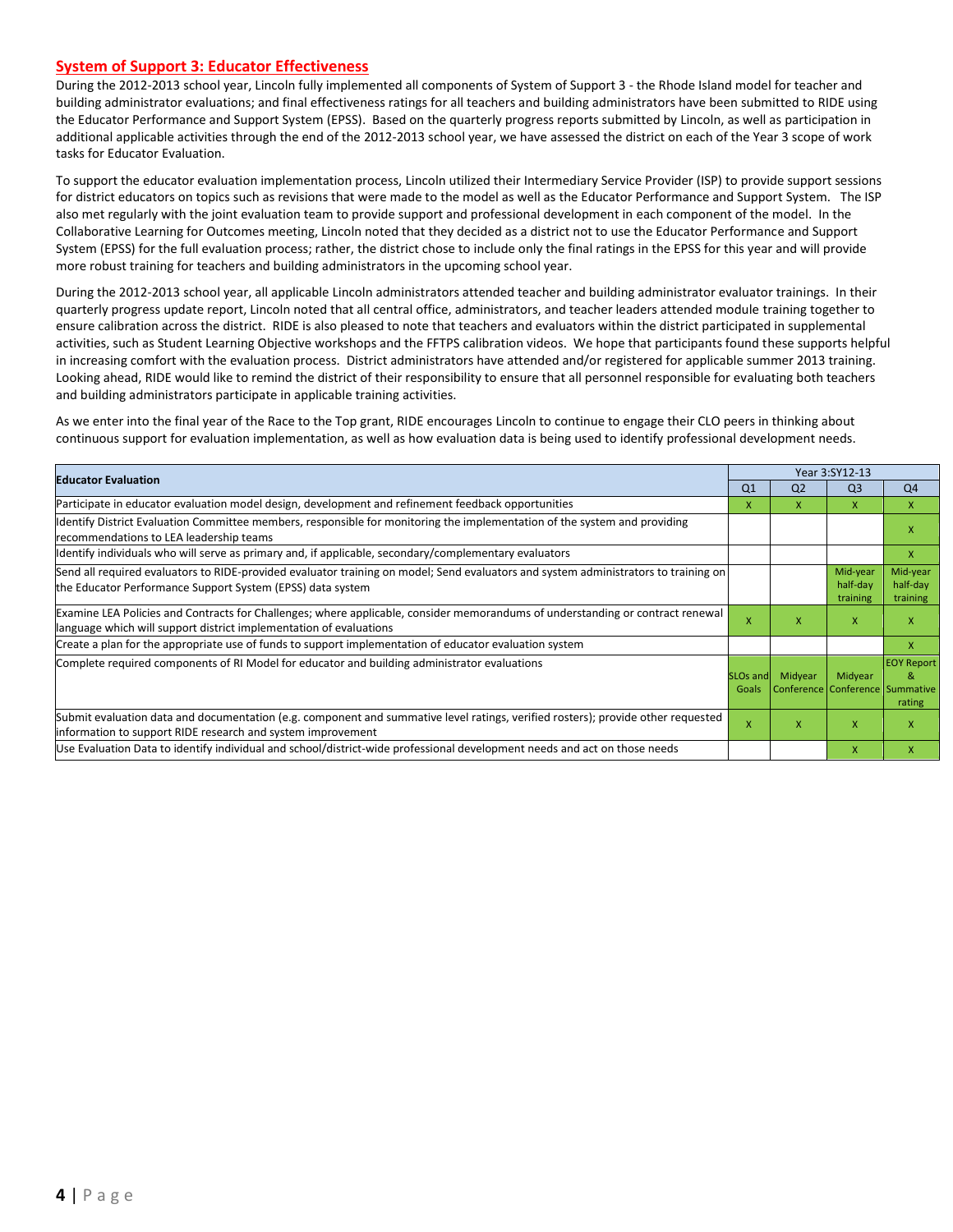#### **System of Support 3: Educator Effectiveness**

During the 2012-2013 school year, Lincoln fully implemented all components of System of Support 3 - the Rhode Island model for teacher and building administrator evaluations; and final effectiveness ratings for all teachers and building administrators have been submitted to RIDE using the Educator Performance and Support System (EPSS). Based on the quarterly progress reports submitted by Lincoln, as well as participation in additional applicable activities through the end of the 2012-2013 school year, we have assessed the district on each of the Year 3 scope of work tasks for Educator Evaluation.

To support the educator evaluation implementation process, Lincoln utilized their Intermediary Service Provider (ISP) to provide support sessions for district educators on topics such as revisions that were made to the model as well as the Educator Performance and Support System. The ISP also met regularly with the joint evaluation team to provide support and professional development in each component of the model. In the Collaborative Learning for Outcomes meeting, Lincoln noted that they decided as a district not to use the Educator Performance and Support System (EPSS) for the full evaluation process; rather, the district chose to include only the final ratings in the EPSS for this year and will provide more robust training for teachers and building administrators in the upcoming school year.

During the 2012-2013 school year, all applicable Lincoln administrators attended teacher and building administrator evaluator trainings. In their quarterly progress update report, Lincoln noted that all central office, administrators, and teacher leaders attended module training together to ensure calibration across the district. RIDE is also pleased to note that teachers and evaluators within the district participated in supplemental activities, such as Student Learning Objective workshops and the FFTPS calibration videos. We hope that participants found these supports helpful in increasing comfort with the evaluation process. District administrators have attended and/or registered for applicable summer 2013 training. Looking ahead, RIDE would like to remind the district of their responsibility to ensure that all personnel responsible for evaluating both teachers and building administrators participate in applicable training activities.

As we enter into the final year of the Race to the Top grant, RIDE encourages Lincoln to continue to engage their CLO peers in thinking about continuous support for evaluation implementation, as well as how evaluation data is being used to identify professional development needs.

|                                                                                                                                                                                                      |                               |                | Year 3:SY12-13                             |                                  |  |  |
|------------------------------------------------------------------------------------------------------------------------------------------------------------------------------------------------------|-------------------------------|----------------|--------------------------------------------|----------------------------------|--|--|
| <b>Educator Evaluation</b>                                                                                                                                                                           | Q <sub>1</sub>                | Q <sub>2</sub> | Q <sub>3</sub>                             | Q4                               |  |  |
| Participate in educator evaluation model design, development and refinement feedback opportunities                                                                                                   | x                             | x              | $\mathsf{x}$                               | $\mathsf{x}$                     |  |  |
| Identify District Evaluation Committee members, responsible for monitoring the implementation of the system and providing<br>recommendations to LEA leadership teams                                 |                               |                |                                            | x                                |  |  |
| ldentify individuals who will serve as primary and, if applicable, secondary/complementary evaluators                                                                                                |                               |                |                                            | $\mathsf{X}$                     |  |  |
| Send all required evaluators to RIDE-provided evaluator training on model; Send evaluators and system administrators to training on<br>the Educator Performance Support System (EPSS) data system    |                               |                | Mid-year<br>half-day<br>training           | Mid-year<br>half-day<br>training |  |  |
| Examine LEA Policies and Contracts for Challenges; where applicable, consider memorandums of understanding or contract renewal<br>language which will support district implementation of evaluations | x                             | x              | X                                          | X                                |  |  |
| Create a plan for the appropriate use of funds to support implementation of educator evaluation system                                                                                               |                               |                |                                            | X                                |  |  |
| Complete required components of RI Model for educator and building administrator evaluations                                                                                                         | SLO <sub>s</sub> and<br>Goals | Midyear        | Midyear<br>Conference Conference Summative | <b>EOY Report</b><br>&<br>rating |  |  |
| Submit evaluation data and documentation (e.g. component and summative level ratings, verified rosters); provide other requested<br>information to support RIDE research and system improvement      | $\mathsf{x}$                  | X              | $\mathsf{x}$                               | X                                |  |  |
| Use Evaluation Data to identify individual and school/district-wide professional development needs and act on those needs                                                                            |                               |                | X                                          | X                                |  |  |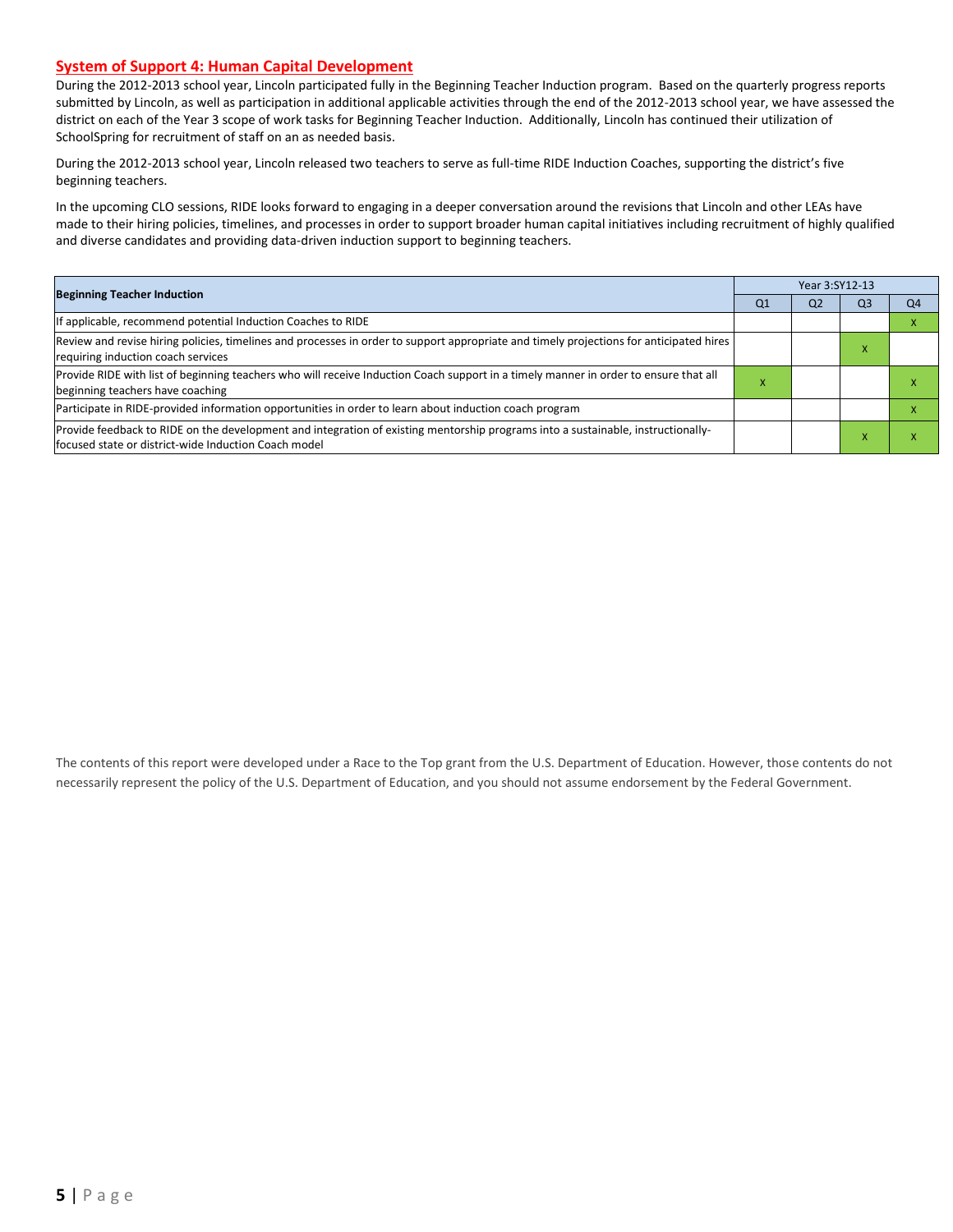#### **System of Support 4: Human Capital Development**

During the 2012-2013 school year, Lincoln participated fully in the Beginning Teacher Induction program. Based on the quarterly progress reports submitted by Lincoln, as well as participation in additional applicable activities through the end of the 2012-2013 school year, we have assessed the district on each of the Year 3 scope of work tasks for Beginning Teacher Induction. Additionally, Lincoln has continued their utilization of SchoolSpring for recruitment of staff on an as needed basis.

During the 2012-2013 school year, Lincoln released two teachers to serve as full-time RIDE Induction Coaches, supporting the district's five beginning teachers.

In the upcoming CLO sessions, RIDE looks forward to engaging in a deeper conversation around the revisions that Lincoln and other LEAs have made to their hiring policies, timelines, and processes in order to support broader human capital initiatives including recruitment of highly qualified and diverse candidates and providing data-driven induction support to beginning teachers.

| <b>Beginning Teacher Induction</b>                                                                                                                                                       |                | Year 3:SY12-13 |                |                |  |  |  |  |
|------------------------------------------------------------------------------------------------------------------------------------------------------------------------------------------|----------------|----------------|----------------|----------------|--|--|--|--|
|                                                                                                                                                                                          | Q <sub>1</sub> | Q <sub>2</sub> | O <sub>3</sub> | Q <sub>4</sub> |  |  |  |  |
| If applicable, recommend potential Induction Coaches to RIDE                                                                                                                             |                |                |                |                |  |  |  |  |
| Review and revise hiring policies, timelines and processes in order to support appropriate and timely projections for anticipated hires<br>requiring induction coach services            |                |                |                |                |  |  |  |  |
| Provide RIDE with list of beginning teachers who will receive Induction Coach support in a timely manner in order to ensure that all<br>beginning teachers have coaching                 | $\mathbf x$    |                |                |                |  |  |  |  |
| Participate in RIDE-provided information opportunities in order to learn about induction coach program                                                                                   |                |                |                |                |  |  |  |  |
| Provide feedback to RIDE on the development and integration of existing mentorship programs into a sustainable, instructionally-<br>focused state or district-wide Induction Coach model |                |                |                |                |  |  |  |  |

The contents of this report were developed under a Race to the Top grant from the U.S. Department of Education. However, those contents do not necessarily represent the policy of the U.S. Department of Education, and you should not assume endorsement by the Federal Government.